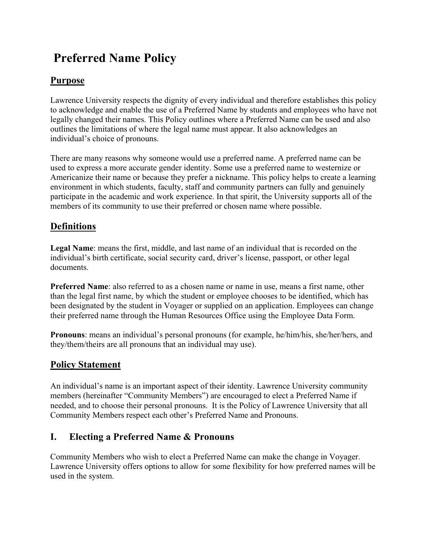# **Preferred Name Policy**

# **Purpose**

Lawrence University respects the dignity of every individual and therefore establishes this policy to acknowledge and enable the use of a Preferred Name by students and employees who have not legally changed their names. This Policy outlines where a Preferred Name can be used and also outlines the limitations of where the legal name must appear. It also acknowledges an individual's choice of pronouns.

There are many reasons why someone would use a preferred name. A preferred name can be used to express a more accurate gender identity. Some use a preferred name to westernize or Americanize their name or because they prefer a nickname. This policy helps to create a learning environment in which students, faculty, staff and community partners can fully and genuinely participate in the academic and work experience. In that spirit, the University supports all of the members of its community to use their preferred or chosen name where possible.

# **Definitions**

**Legal Name**: means the first, middle, and last name of an individual that is recorded on the individual's birth certificate, social security card, driver's license, passport, or other legal documents.

**Preferred Name**: also referred to as a chosen name or name in use, means a first name, other than the legal first name, by which the student or employee chooses to be identified, which has been designated by the student in Voyager or supplied on an application. Employees can change their preferred name through the Human Resources Office using the Employee Data Form.

**Pronouns**: means an individual's personal pronouns (for example, he/him/his, she/her/hers, and they/them/theirs are all pronouns that an individual may use).

# **Policy Statement**

An individual's name is an important aspect of their identity. Lawrence University community members (hereinafter "Community Members") are encouraged to elect a Preferred Name if needed, and to choose their personal pronouns. It is the Policy of Lawrence University that all Community Members respect each other's Preferred Name and Pronouns.

# **I. Electing a Preferred Name & Pronouns**

Community Members who wish to elect a Preferred Name can make the change in Voyager. Lawrence University offers options to allow for some flexibility for how preferred names will be used in the system.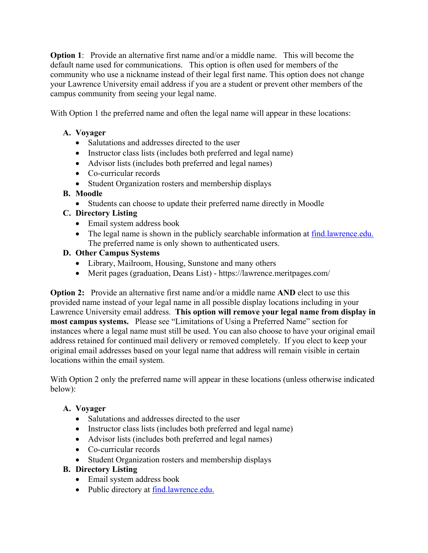**Option 1:** Provide an alternative first name and/or a middle name. This will become the default name used for communications. This option is often used for members of the community who use a nickname instead of their legal first name. This option does not change your Lawrence University email address if you are a student or prevent other members of the campus community from seeing your legal name.

With Option 1 the preferred name and often the legal name will appear in these locations:

#### **A. Voyager**

- Salutations and addresses directed to the user
- Instructor class lists (includes both preferred and legal name)
- Advisor lists (includes both preferred and legal names)
- Co-curricular records
- Student Organization rosters and membership displays

#### **B. Moodle**

Students can choose to update their preferred name directly in Moodle

#### **C. Directory Listing**

- Email system address book
- The legal name is shown in the publicly searchable information at find.lawrence.edu. The preferred name is only shown to authenticated users.

#### **D. Other Campus Systems**

- Library, Mailroom, Housing, Sunstone and many others
- Merit pages (graduation, Deans List) https://lawrence.meritpages.com/

**Option 2:** Provide an alternative first name and/or a middle name **AND** elect to use this provided name instead of your legal name in all possible display locations including in your Lawrence University email address. **This option will remove your legal name from display in most campus systems.** Please see "Limitations of Using a Preferred Name" section for instances where a legal name must still be used. You can also choose to have your original email address retained for continued mail delivery or removed completely. If you elect to keep your original email addresses based on your legal name that address will remain visible in certain locations within the email system.

With Option 2 only the preferred name will appear in these locations (unless otherwise indicated below):

#### **A. Voyager**

- Salutations and addresses directed to the user
- Instructor class lists (includes both preferred and legal name)
- Advisor lists (includes both preferred and legal names)
- Co-curricular records
- Student Organization rosters and membership displays

#### **B. Directory Listing**

- Email system address book
- Public directory at find.lawrence.edu.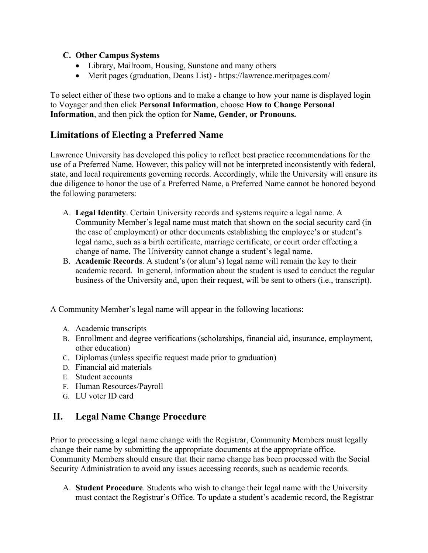#### **C. Other Campus Systems**

- Library, Mailroom, Housing, Sunstone and many others
- Merit pages (graduation, Deans List) https://lawrence.meritpages.com/

To select either of these two options and to make a change to how your name is displayed login to Voyager and then click **Personal Information**, choose **How to Change Personal Information**, and then pick the option for **Name, Gender, or Pronouns.** 

### **Limitations of Electing a Preferred Name**

Lawrence University has developed this policy to reflect best practice recommendations for the use of a Preferred Name. However, this policy will not be interpreted inconsistently with federal, state, and local requirements governing records. Accordingly, while the University will ensure its due diligence to honor the use of a Preferred Name, a Preferred Name cannot be honored beyond the following parameters:

- A. **Legal Identity**. Certain University records and systems require a legal name. A Community Member's legal name must match that shown on the social security card (in the case of employment) or other documents establishing the employee's or student's legal name, such as a birth certificate, marriage certificate, or court order effecting a change of name. The University cannot change a student's legal name.
- B. **Academic Records**. A student's (or alum's) legal name will remain the key to their academic record. In general, information about the student is used to conduct the regular business of the University and, upon their request, will be sent to others (i.e., transcript).

A Community Member's legal name will appear in the following locations:

- A. Academic transcripts
- B. Enrollment and degree verifications (scholarships, financial aid, insurance, employment, other education)
- C. Diplomas (unless specific request made prior to graduation)
- D. Financial aid materials
- E. Student accounts
- F. Human Resources/Payroll
- G. LU voter ID card

### **II. Legal Name Change Procedure**

Prior to processing a legal name change with the Registrar, Community Members must legally change their name by submitting the appropriate documents at the appropriate office. Community Members should ensure that their name change has been processed with the Social Security Administration to avoid any issues accessing records, such as academic records.

A. **Student Procedure**. Students who wish to change their legal name with the University must contact the Registrar's Office. To update a student's academic record, the Registrar